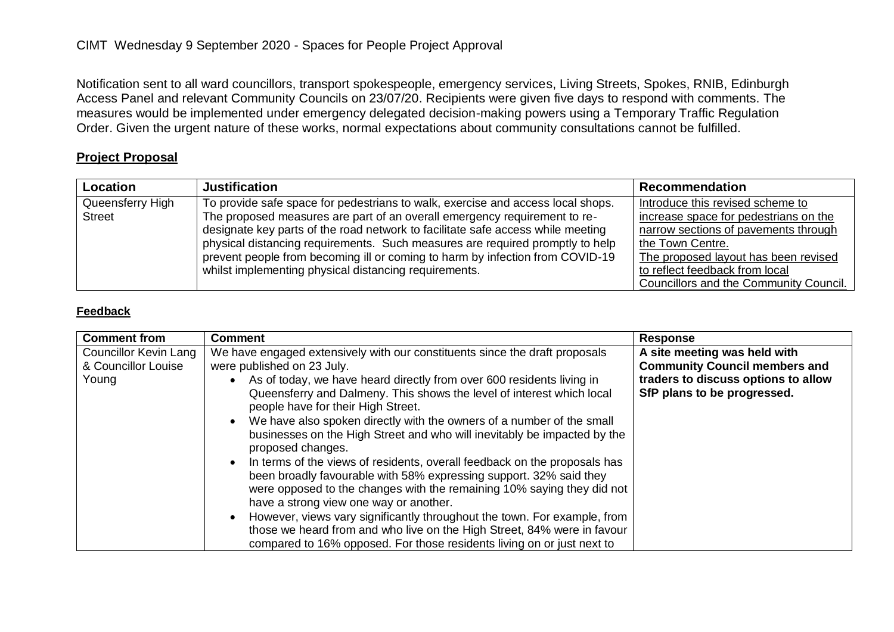Notification sent to all ward councillors, transport spokespeople, emergency services, Living Streets, Spokes, RNIB, Edinburgh Access Panel and relevant Community Councils on 23/07/20. Recipients were given five days to respond with comments. The measures would be implemented under emergency delegated decision-making powers using a Temporary Traffic Regulation Order. Given the urgent nature of these works, normal expectations about community consultations cannot be fulfilled.

## **Project Proposal**

| Location         | <b>Justification</b>                                                            | <b>Recommendation</b>                  |
|------------------|---------------------------------------------------------------------------------|----------------------------------------|
| Queensferry High | To provide safe space for pedestrians to walk, exercise and access local shops. | Introduce this revised scheme to       |
| <b>Street</b>    | The proposed measures are part of an overall emergency requirement to re-       | increase space for pedestrians on the  |
|                  | designate key parts of the road network to facilitate safe access while meeting | narrow sections of pavements through   |
|                  | physical distancing requirements. Such measures are required promptly to help   | the Town Centre.                       |
|                  | prevent people from becoming ill or coming to harm by infection from COVID-19   | The proposed layout has been revised   |
|                  | whilst implementing physical distancing requirements.                           | to reflect feedback from local         |
|                  |                                                                                 | Councillors and the Community Council. |

## **Feedback**

| <b>Comment from</b>                                          | <b>Comment</b>                                                                                                                                                                                                                                                                                                                                                                                                                                                                                                                                                                                                                                                                                                                                                                                                                                                                                                                                                                      | <b>Response</b>                                                                                                                            |
|--------------------------------------------------------------|-------------------------------------------------------------------------------------------------------------------------------------------------------------------------------------------------------------------------------------------------------------------------------------------------------------------------------------------------------------------------------------------------------------------------------------------------------------------------------------------------------------------------------------------------------------------------------------------------------------------------------------------------------------------------------------------------------------------------------------------------------------------------------------------------------------------------------------------------------------------------------------------------------------------------------------------------------------------------------------|--------------------------------------------------------------------------------------------------------------------------------------------|
| <b>Councillor Kevin Lang</b><br>& Councillor Louise<br>Young | We have engaged extensively with our constituents since the draft proposals<br>were published on 23 July.<br>As of today, we have heard directly from over 600 residents living in<br>Queensferry and Dalmeny. This shows the level of interest which local<br>people have for their High Street.<br>We have also spoken directly with the owners of a number of the small<br>businesses on the High Street and who will inevitably be impacted by the<br>proposed changes.<br>In terms of the views of residents, overall feedback on the proposals has<br>been broadly favourable with 58% expressing support. 32% said they<br>were opposed to the changes with the remaining 10% saying they did not<br>have a strong view one way or another.<br>However, views vary significantly throughout the town. For example, from<br>those we heard from and who live on the High Street, 84% were in favour<br>compared to 16% opposed. For those residents living on or just next to | A site meeting was held with<br><b>Community Council members and</b><br>traders to discuss options to allow<br>SfP plans to be progressed. |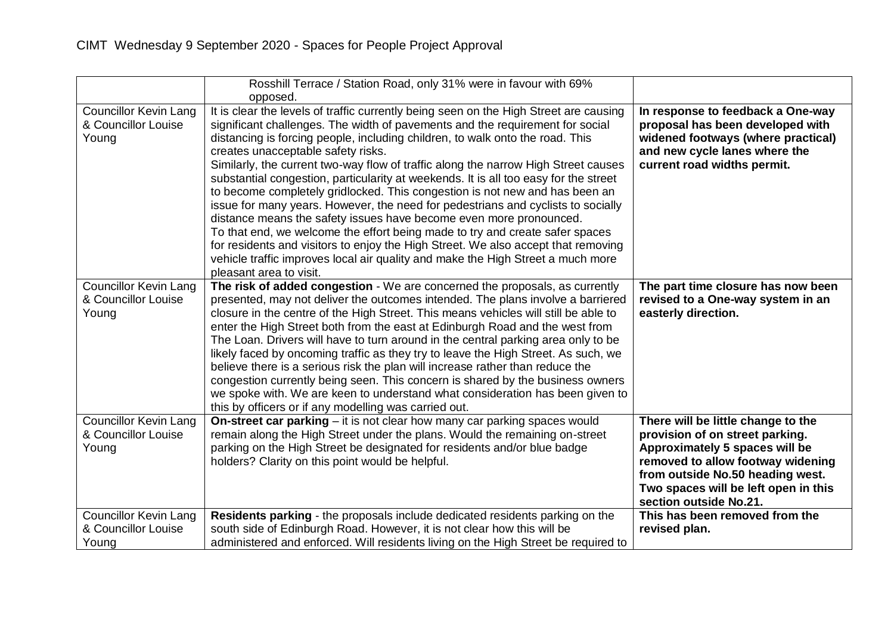|                                                              | Rosshill Terrace / Station Road, only 31% were in favour with 69%                                                                                                                                                                                                                                                                                                                                                                                                                                                                                                                                                                                                                                                                                                                                                                                                                                                                                                                                       |                                                                                                                                                                                                                                                    |
|--------------------------------------------------------------|---------------------------------------------------------------------------------------------------------------------------------------------------------------------------------------------------------------------------------------------------------------------------------------------------------------------------------------------------------------------------------------------------------------------------------------------------------------------------------------------------------------------------------------------------------------------------------------------------------------------------------------------------------------------------------------------------------------------------------------------------------------------------------------------------------------------------------------------------------------------------------------------------------------------------------------------------------------------------------------------------------|----------------------------------------------------------------------------------------------------------------------------------------------------------------------------------------------------------------------------------------------------|
|                                                              | opposed.                                                                                                                                                                                                                                                                                                                                                                                                                                                                                                                                                                                                                                                                                                                                                                                                                                                                                                                                                                                                |                                                                                                                                                                                                                                                    |
| <b>Councillor Kevin Lang</b><br>& Councillor Louise<br>Young | It is clear the levels of traffic currently being seen on the High Street are causing<br>significant challenges. The width of pavements and the requirement for social<br>distancing is forcing people, including children, to walk onto the road. This<br>creates unacceptable safety risks.<br>Similarly, the current two-way flow of traffic along the narrow High Street causes<br>substantial congestion, particularity at weekends. It is all too easy for the street<br>to become completely gridlocked. This congestion is not new and has been an<br>issue for many years. However, the need for pedestrians and cyclists to socially<br>distance means the safety issues have become even more pronounced.<br>To that end, we welcome the effort being made to try and create safer spaces<br>for residents and visitors to enjoy the High Street. We also accept that removing<br>vehicle traffic improves local air quality and make the High Street a much more<br>pleasant area to visit. | In response to feedback a One-way<br>proposal has been developed with<br>widened footways (where practical)<br>and new cycle lanes where the<br>current road widths permit.                                                                        |
| <b>Councillor Kevin Lang</b><br>& Councillor Louise<br>Young | The risk of added congestion - We are concerned the proposals, as currently<br>presented, may not deliver the outcomes intended. The plans involve a barriered<br>closure in the centre of the High Street. This means vehicles will still be able to<br>enter the High Street both from the east at Edinburgh Road and the west from<br>The Loan. Drivers will have to turn around in the central parking area only to be<br>likely faced by oncoming traffic as they try to leave the High Street. As such, we<br>believe there is a serious risk the plan will increase rather than reduce the<br>congestion currently being seen. This concern is shared by the business owners<br>we spoke with. We are keen to understand what consideration has been given to<br>this by officers or if any modelling was carried out.                                                                                                                                                                           | The part time closure has now been<br>revised to a One-way system in an<br>easterly direction.                                                                                                                                                     |
| <b>Councillor Kevin Lang</b><br>& Councillor Louise<br>Young | On-street car parking – it is not clear how many car parking spaces would<br>remain along the High Street under the plans. Would the remaining on-street<br>parking on the High Street be designated for residents and/or blue badge<br>holders? Clarity on this point would be helpful.                                                                                                                                                                                                                                                                                                                                                                                                                                                                                                                                                                                                                                                                                                                | There will be little change to the<br>provision of on street parking.<br>Approximately 5 spaces will be<br>removed to allow footway widening<br>from outside No.50 heading west.<br>Two spaces will be left open in this<br>section outside No.21. |
| <b>Councillor Kevin Lang</b>                                 | Residents parking - the proposals include dedicated residents parking on the                                                                                                                                                                                                                                                                                                                                                                                                                                                                                                                                                                                                                                                                                                                                                                                                                                                                                                                            | This has been removed from the                                                                                                                                                                                                                     |
| & Councillor Louise                                          | south side of Edinburgh Road. However, it is not clear how this will be                                                                                                                                                                                                                                                                                                                                                                                                                                                                                                                                                                                                                                                                                                                                                                                                                                                                                                                                 | revised plan.                                                                                                                                                                                                                                      |
| Young                                                        | administered and enforced. Will residents living on the High Street be required to                                                                                                                                                                                                                                                                                                                                                                                                                                                                                                                                                                                                                                                                                                                                                                                                                                                                                                                      |                                                                                                                                                                                                                                                    |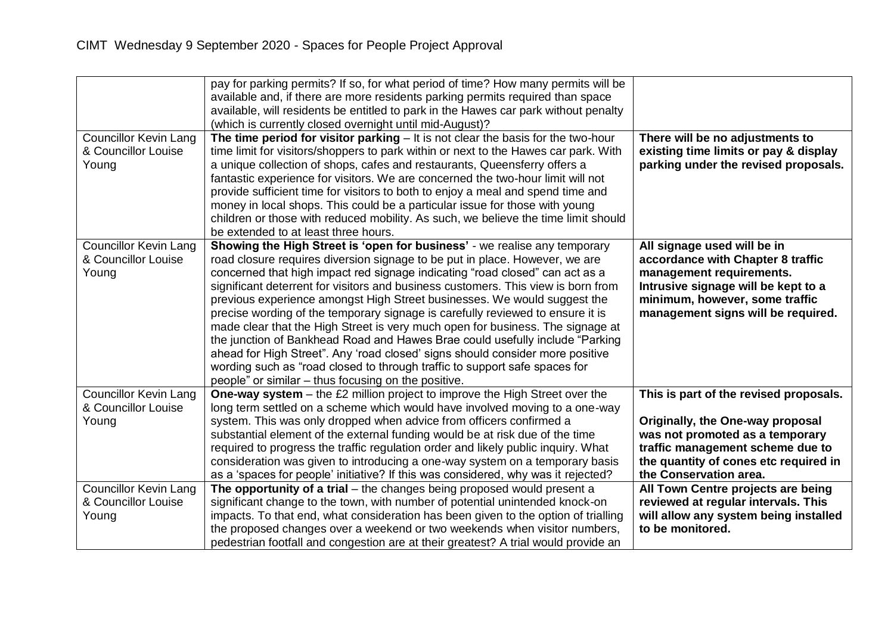|                                                              | pay for parking permits? If so, for what period of time? How many permits will be<br>available and, if there are more residents parking permits required than space<br>available, will residents be entitled to park in the Hawes car park without penalty<br>(which is currently closed overnight until mid-August)?                                                                                                                                                                                                                                                                                                                                                                                                                                                                                                                                                               |                                                                                                                                                                                                                      |
|--------------------------------------------------------------|-------------------------------------------------------------------------------------------------------------------------------------------------------------------------------------------------------------------------------------------------------------------------------------------------------------------------------------------------------------------------------------------------------------------------------------------------------------------------------------------------------------------------------------------------------------------------------------------------------------------------------------------------------------------------------------------------------------------------------------------------------------------------------------------------------------------------------------------------------------------------------------|----------------------------------------------------------------------------------------------------------------------------------------------------------------------------------------------------------------------|
| <b>Councillor Kevin Lang</b><br>& Councillor Louise<br>Young | The time period for visitor parking $-$ It is not clear the basis for the two-hour<br>time limit for visitors/shoppers to park within or next to the Hawes car park. With<br>a unique collection of shops, cafes and restaurants, Queensferry offers a<br>fantastic experience for visitors. We are concerned the two-hour limit will not<br>provide sufficient time for visitors to both to enjoy a meal and spend time and<br>money in local shops. This could be a particular issue for those with young<br>children or those with reduced mobility. As such, we believe the time limit should<br>be extended to at least three hours.                                                                                                                                                                                                                                           | There will be no adjustments to<br>existing time limits or pay & display<br>parking under the revised proposals.                                                                                                     |
| Councillor Kevin Lang<br>& Councillor Louise<br>Young        | Showing the High Street is 'open for business' - we realise any temporary<br>road closure requires diversion signage to be put in place. However, we are<br>concerned that high impact red signage indicating "road closed" can act as a<br>significant deterrent for visitors and business customers. This view is born from<br>previous experience amongst High Street businesses. We would suggest the<br>precise wording of the temporary signage is carefully reviewed to ensure it is<br>made clear that the High Street is very much open for business. The signage at<br>the junction of Bankhead Road and Hawes Brae could usefully include "Parking<br>ahead for High Street". Any 'road closed' signs should consider more positive<br>wording such as "road closed to through traffic to support safe spaces for<br>people" or similar – thus focusing on the positive. | All signage used will be in<br>accordance with Chapter 8 traffic<br>management requirements.<br>Intrusive signage will be kept to a<br>minimum, however, some traffic<br>management signs will be required.          |
| <b>Councillor Kevin Lang</b><br>& Councillor Louise<br>Young | <b>One-way system</b> – the £2 million project to improve the High Street over the<br>long term settled on a scheme which would have involved moving to a one-way<br>system. This was only dropped when advice from officers confirmed a<br>substantial element of the external funding would be at risk due of the time<br>required to progress the traffic regulation order and likely public inquiry. What<br>consideration was given to introducing a one-way system on a temporary basis<br>as a 'spaces for people' initiative? If this was considered, why was it rejected?                                                                                                                                                                                                                                                                                                  | This is part of the revised proposals.<br>Originally, the One-way proposal<br>was not promoted as a temporary<br>traffic management scheme due to<br>the quantity of cones etc required in<br>the Conservation area. |
| <b>Councillor Kevin Lang</b><br>& Councillor Louise<br>Young | The opportunity of a trial $-$ the changes being proposed would present a<br>significant change to the town, with number of potential unintended knock-on<br>impacts. To that end, what consideration has been given to the option of trialling<br>the proposed changes over a weekend or two weekends when visitor numbers,<br>pedestrian footfall and congestion are at their greatest? A trial would provide an                                                                                                                                                                                                                                                                                                                                                                                                                                                                  | All Town Centre projects are being<br>reviewed at regular intervals. This<br>will allow any system being installed<br>to be monitored.                                                                               |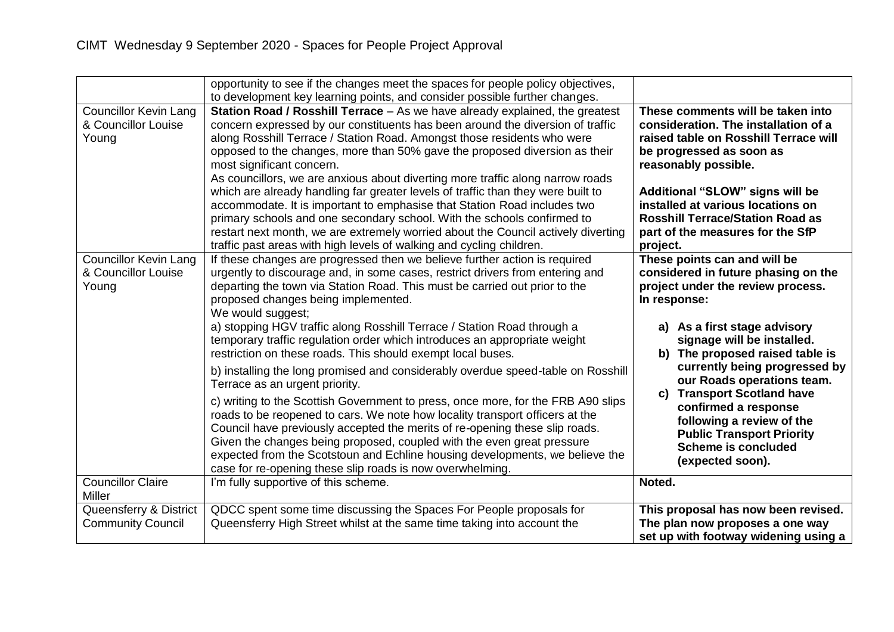|                                                              | opportunity to see if the changes meet the spaces for people policy objectives,<br>to development key learning points, and consider possible further changes.                                                                                                                                                                                                                                                                                                                                                                                                                                                                                                                                                                                                                                                                                                                                                                                                                                                                                                                                                                |                                                                                                                                                                                                                                                                                                                                                                                                                                                                             |
|--------------------------------------------------------------|------------------------------------------------------------------------------------------------------------------------------------------------------------------------------------------------------------------------------------------------------------------------------------------------------------------------------------------------------------------------------------------------------------------------------------------------------------------------------------------------------------------------------------------------------------------------------------------------------------------------------------------------------------------------------------------------------------------------------------------------------------------------------------------------------------------------------------------------------------------------------------------------------------------------------------------------------------------------------------------------------------------------------------------------------------------------------------------------------------------------------|-----------------------------------------------------------------------------------------------------------------------------------------------------------------------------------------------------------------------------------------------------------------------------------------------------------------------------------------------------------------------------------------------------------------------------------------------------------------------------|
| <b>Councillor Kevin Lang</b><br>& Councillor Louise<br>Young | Station Road / Rosshill Terrace - As we have already explained, the greatest<br>concern expressed by our constituents has been around the diversion of traffic<br>along Rosshill Terrace / Station Road. Amongst those residents who were<br>opposed to the changes, more than 50% gave the proposed diversion as their<br>most significant concern.<br>As councillors, we are anxious about diverting more traffic along narrow roads<br>which are already handling far greater levels of traffic than they were built to<br>accommodate. It is important to emphasise that Station Road includes two<br>primary schools and one secondary school. With the schools confirmed to<br>restart next month, we are extremely worried about the Council actively diverting<br>traffic past areas with high levels of walking and cycling children.                                                                                                                                                                                                                                                                               | These comments will be taken into<br>consideration. The installation of a<br>raised table on Rosshill Terrace will<br>be progressed as soon as<br>reasonably possible.<br>Additional "SLOW" signs will be<br>installed at various locations on<br><b>Rosshill Terrace/Station Road as</b><br>part of the measures for the SfP<br>project.                                                                                                                                   |
| <b>Councillor Kevin Lang</b><br>& Councillor Louise<br>Young | If these changes are progressed then we believe further action is required<br>urgently to discourage and, in some cases, restrict drivers from entering and<br>departing the town via Station Road. This must be carried out prior to the<br>proposed changes being implemented.<br>We would suggest;<br>a) stopping HGV traffic along Rosshill Terrace / Station Road through a<br>temporary traffic regulation order which introduces an appropriate weight<br>restriction on these roads. This should exempt local buses.<br>b) installing the long promised and considerably overdue speed-table on Rosshill<br>Terrace as an urgent priority.<br>c) writing to the Scottish Government to press, once more, for the FRB A90 slips<br>roads to be reopened to cars. We note how locality transport officers at the<br>Council have previously accepted the merits of re-opening these slip roads.<br>Given the changes being proposed, coupled with the even great pressure<br>expected from the Scotstoun and Echline housing developments, we believe the<br>case for re-opening these slip roads is now overwhelming. | These points can and will be<br>considered in future phasing on the<br>project under the review process.<br>In response:<br>a) As a first stage advisory<br>signage will be installed.<br>b) The proposed raised table is<br>currently being progressed by<br>our Roads operations team.<br><b>Transport Scotland have</b><br>C)<br>confirmed a response<br>following a review of the<br><b>Public Transport Priority</b><br><b>Scheme is concluded</b><br>(expected soon). |
| <b>Councillor Claire</b><br>Miller                           | I'm fully supportive of this scheme.                                                                                                                                                                                                                                                                                                                                                                                                                                                                                                                                                                                                                                                                                                                                                                                                                                                                                                                                                                                                                                                                                         | Noted.                                                                                                                                                                                                                                                                                                                                                                                                                                                                      |
| Queensferry & District<br><b>Community Council</b>           | QDCC spent some time discussing the Spaces For People proposals for<br>Queensferry High Street whilst at the same time taking into account the                                                                                                                                                                                                                                                                                                                                                                                                                                                                                                                                                                                                                                                                                                                                                                                                                                                                                                                                                                               | This proposal has now been revised.<br>The plan now proposes a one way<br>set up with footway widening using a                                                                                                                                                                                                                                                                                                                                                              |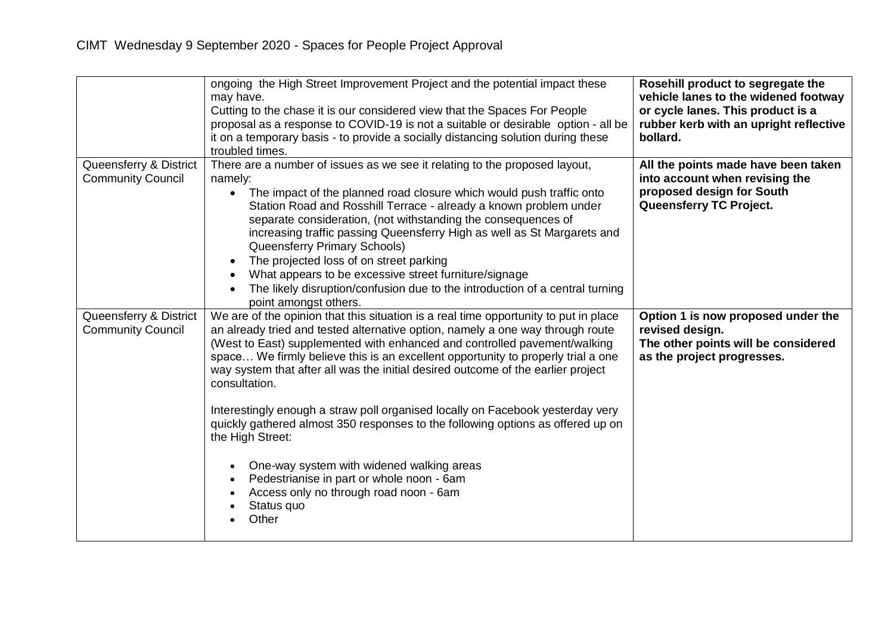|                                                    | ongoing the High Street Improvement Project and the potential impact these<br>may have.<br>Cutting to the chase it is our considered view that the Spaces For People<br>proposal as a response to COVID-19 is not a suitable or desirable option - all be<br>it on a temporary basis - to provide a socially distancing solution during these<br>troubled times.                                                                                                                                                                                                                                                                                                                                                                                                                                              | Rosehill product to segregate the<br>vehicle lanes to the widened footway<br>or cycle lanes. This product is a<br>rubber kerb with an upright reflective<br>bollard. |
|----------------------------------------------------|---------------------------------------------------------------------------------------------------------------------------------------------------------------------------------------------------------------------------------------------------------------------------------------------------------------------------------------------------------------------------------------------------------------------------------------------------------------------------------------------------------------------------------------------------------------------------------------------------------------------------------------------------------------------------------------------------------------------------------------------------------------------------------------------------------------|----------------------------------------------------------------------------------------------------------------------------------------------------------------------|
| Queensferry & District<br><b>Community Council</b> | There are a number of issues as we see it relating to the proposed layout,<br>namely:<br>The impact of the planned road closure which would push traffic onto<br>Station Road and Rosshill Terrace - already a known problem under<br>separate consideration, (not withstanding the consequences of<br>increasing traffic passing Queensferry High as well as St Margarets and<br>Queensferry Primary Schools)<br>The projected loss of on street parking<br>What appears to be excessive street furniture/signage<br>The likely disruption/confusion due to the introduction of a central turning<br>point amongst others.                                                                                                                                                                                   | All the points made have been taken<br>into account when revising the<br>proposed design for South<br>Queensferry TC Project.                                        |
| Queensferry & District<br><b>Community Council</b> | We are of the opinion that this situation is a real time opportunity to put in place<br>an already tried and tested alternative option, namely a one way through route<br>(West to East) supplemented with enhanced and controlled pavement/walking<br>space We firmly believe this is an excellent opportunity to properly trial a one<br>way system that after all was the initial desired outcome of the earlier project<br>consultation.<br>Interestingly enough a straw poll organised locally on Facebook yesterday very<br>quickly gathered almost 350 responses to the following options as offered up on<br>the High Street:<br>One-way system with widened walking areas<br>$\bullet$<br>Pedestrianise in part or whole noon - 6am<br>Access only no through road noon - 6am<br>Status quo<br>Other | Option 1 is now proposed under the<br>revised design.<br>The other points will be considered<br>as the project progresses.                                           |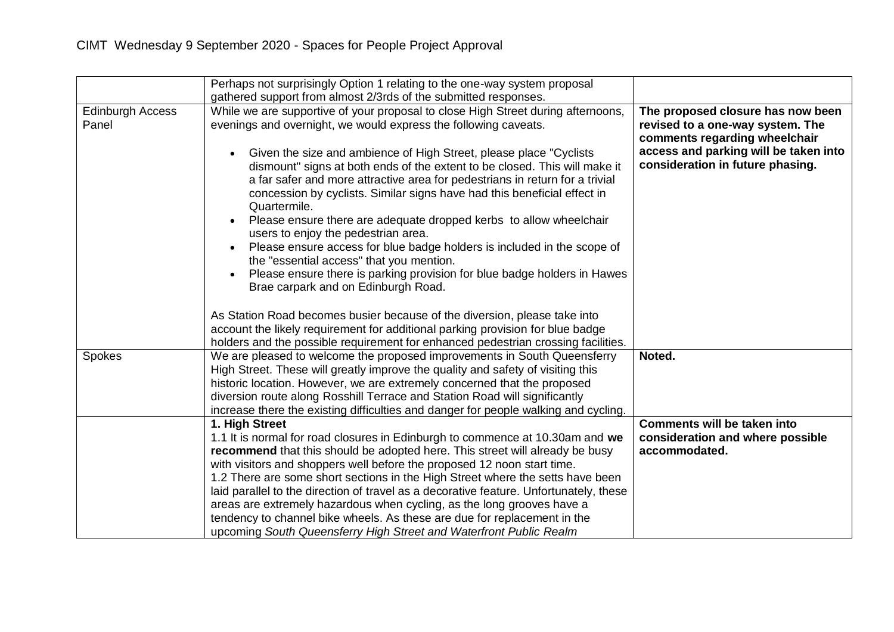|                                  | Perhaps not surprisingly Option 1 relating to the one-way system proposal<br>gathered support from almost 2/3rds of the submitted responses.                                                                                                                                                                                                                                                                                                                                                                                                                                                                                                                                         |                                                                                                        |
|----------------------------------|--------------------------------------------------------------------------------------------------------------------------------------------------------------------------------------------------------------------------------------------------------------------------------------------------------------------------------------------------------------------------------------------------------------------------------------------------------------------------------------------------------------------------------------------------------------------------------------------------------------------------------------------------------------------------------------|--------------------------------------------------------------------------------------------------------|
| <b>Edinburgh Access</b><br>Panel | While we are supportive of your proposal to close High Street during afternoons,<br>evenings and overnight, we would express the following caveats.                                                                                                                                                                                                                                                                                                                                                                                                                                                                                                                                  | The proposed closure has now been<br>revised to a one-way system. The<br>comments regarding wheelchair |
|                                  | Given the size and ambience of High Street, please place "Cyclists"<br>dismount" signs at both ends of the extent to be closed. This will make it<br>a far safer and more attractive area for pedestrians in return for a trivial<br>concession by cyclists. Similar signs have had this beneficial effect in<br>Quartermile.<br>Please ensure there are adequate dropped kerbs to allow wheelchair<br>users to enjoy the pedestrian area.<br>Please ensure access for blue badge holders is included in the scope of<br>the "essential access" that you mention.<br>Please ensure there is parking provision for blue badge holders in Hawes<br>Brae carpark and on Edinburgh Road. | access and parking will be taken into<br>consideration in future phasing.                              |
|                                  | As Station Road becomes busier because of the diversion, please take into<br>account the likely requirement for additional parking provision for blue badge<br>holders and the possible requirement for enhanced pedestrian crossing facilities.                                                                                                                                                                                                                                                                                                                                                                                                                                     |                                                                                                        |
| Spokes                           | We are pleased to welcome the proposed improvements in South Queensferry<br>High Street. These will greatly improve the quality and safety of visiting this<br>historic location. However, we are extremely concerned that the proposed<br>diversion route along Rosshill Terrace and Station Road will significantly<br>increase there the existing difficulties and danger for people walking and cycling.                                                                                                                                                                                                                                                                         | Noted.                                                                                                 |
|                                  | 1. High Street<br>1.1 It is normal for road closures in Edinburgh to commence at 10.30am and we<br>recommend that this should be adopted here. This street will already be busy<br>with visitors and shoppers well before the proposed 12 noon start time.<br>1.2 There are some short sections in the High Street where the setts have been<br>laid parallel to the direction of travel as a decorative feature. Unfortunately, these<br>areas are extremely hazardous when cycling, as the long grooves have a<br>tendency to channel bike wheels. As these are due for replacement in the<br>upcoming South Queensferry High Street and Waterfront Public Realm                   | <b>Comments will be taken into</b><br>consideration and where possible<br>accommodated.                |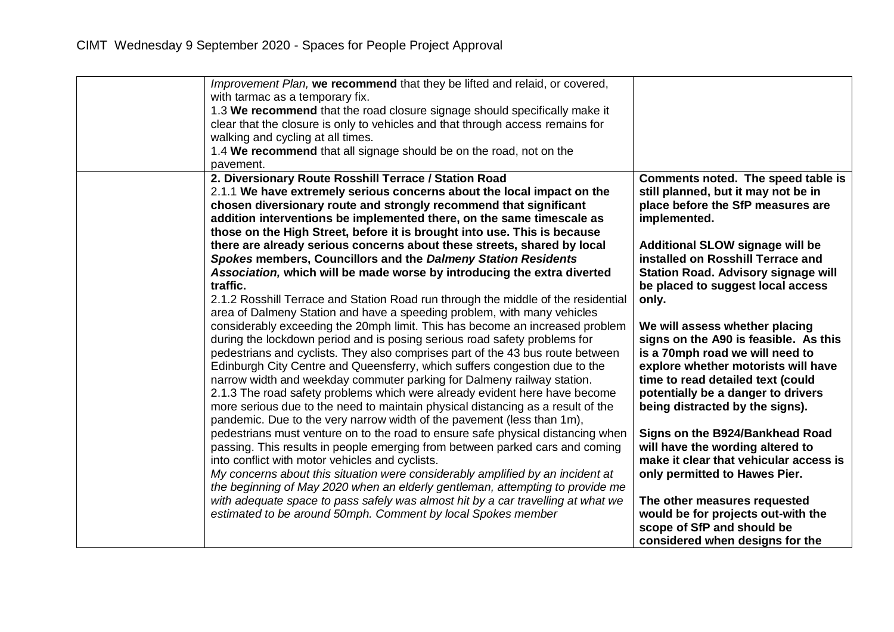| pavement. | Improvement Plan, we recommend that they be lifted and relaid, or covered,<br>with tarmac as a temporary fix.<br>1.3 We recommend that the road closure signage should specifically make it<br>clear that the closure is only to vehicles and that through access remains for<br>walking and cycling at all times.<br>1.4 We recommend that all signage should be on the road, not on the                                                                                                                                                                                                                                                                                                                                                                                                                                                                                                                                                                                                                                                                                                                                                                                                                                                                                                                                                                                                                                                                                                                                                                                                                                                                                                                                                                                                                                                                                                                                                       |                                                                                                                                                                                                                                                                                                                                                                                                                                                                                                                                                                                                                                                                                                                                                                                                                                                                       |
|-----------|-------------------------------------------------------------------------------------------------------------------------------------------------------------------------------------------------------------------------------------------------------------------------------------------------------------------------------------------------------------------------------------------------------------------------------------------------------------------------------------------------------------------------------------------------------------------------------------------------------------------------------------------------------------------------------------------------------------------------------------------------------------------------------------------------------------------------------------------------------------------------------------------------------------------------------------------------------------------------------------------------------------------------------------------------------------------------------------------------------------------------------------------------------------------------------------------------------------------------------------------------------------------------------------------------------------------------------------------------------------------------------------------------------------------------------------------------------------------------------------------------------------------------------------------------------------------------------------------------------------------------------------------------------------------------------------------------------------------------------------------------------------------------------------------------------------------------------------------------------------------------------------------------------------------------------------------------|-----------------------------------------------------------------------------------------------------------------------------------------------------------------------------------------------------------------------------------------------------------------------------------------------------------------------------------------------------------------------------------------------------------------------------------------------------------------------------------------------------------------------------------------------------------------------------------------------------------------------------------------------------------------------------------------------------------------------------------------------------------------------------------------------------------------------------------------------------------------------|
| traffic.  | 2. Diversionary Route Rosshill Terrace / Station Road<br>2.1.1 We have extremely serious concerns about the local impact on the<br>chosen diversionary route and strongly recommend that significant<br>addition interventions be implemented there, on the same timescale as<br>those on the High Street, before it is brought into use. This is because<br>there are already serious concerns about these streets, shared by local<br>Spokes members, Councillors and the Dalmeny Station Residents<br>Association, which will be made worse by introducing the extra diverted<br>2.1.2 Rosshill Terrace and Station Road run through the middle of the residential<br>area of Dalmeny Station and have a speeding problem, with many vehicles<br>considerably exceeding the 20mph limit. This has become an increased problem<br>during the lockdown period and is posing serious road safety problems for<br>pedestrians and cyclists. They also comprises part of the 43 bus route between<br>Edinburgh City Centre and Queensferry, which suffers congestion due to the<br>narrow width and weekday commuter parking for Dalmeny railway station.<br>2.1.3 The road safety problems which were already evident here have become<br>more serious due to the need to maintain physical distancing as a result of the<br>pandemic. Due to the very narrow width of the pavement (less than 1m),<br>pedestrians must venture on to the road to ensure safe physical distancing when<br>passing. This results in people emerging from between parked cars and coming<br>into conflict with motor vehicles and cyclists.<br>My concerns about this situation were considerably amplified by an incident at<br>the beginning of May 2020 when an elderly gentleman, attempting to provide me<br>with adequate space to pass safely was almost hit by a car travelling at what we<br>estimated to be around 50mph. Comment by local Spokes member | Comments noted. The speed table is<br>still planned, but it may not be in<br>place before the SfP measures are<br>implemented.<br><b>Additional SLOW signage will be</b><br>installed on Rosshill Terrace and<br><b>Station Road. Advisory signage will</b><br>be placed to suggest local access<br>only.<br>We will assess whether placing<br>signs on the A90 is feasible. As this<br>is a 70mph road we will need to<br>explore whether motorists will have<br>time to read detailed text (could<br>potentially be a danger to drivers<br>being distracted by the signs).<br>Signs on the B924/Bankhead Road<br>will have the wording altered to<br>make it clear that vehicular access is<br>only permitted to Hawes Pier.<br>The other measures requested<br>would be for projects out-with the<br>scope of SfP and should be<br>considered when designs for the |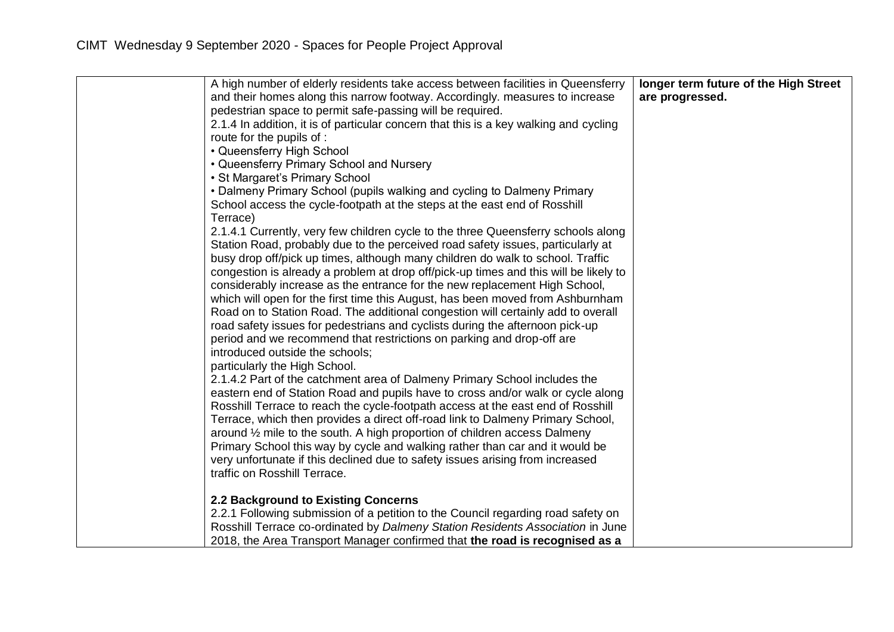| A high number of elderly residents take access between facilities in Queensferry      | longer term future of the High Street |
|---------------------------------------------------------------------------------------|---------------------------------------|
| and their homes along this narrow footway. Accordingly, measures to increase          | are progressed.                       |
| pedestrian space to permit safe-passing will be required.                             |                                       |
| 2.1.4 In addition, it is of particular concern that this is a key walking and cycling |                                       |
| route for the pupils of :                                                             |                                       |
| • Queensferry High School                                                             |                                       |
| • Queensferry Primary School and Nursery                                              |                                       |
| • St Margaret's Primary School                                                        |                                       |
| • Dalmeny Primary School (pupils walking and cycling to Dalmeny Primary               |                                       |
| School access the cycle-footpath at the steps at the east end of Rosshill             |                                       |
| Terrace)                                                                              |                                       |
| 2.1.4.1 Currently, very few children cycle to the three Queensferry schools along     |                                       |
| Station Road, probably due to the perceived road safety issues, particularly at       |                                       |
| busy drop off/pick up times, although many children do walk to school. Traffic        |                                       |
| congestion is already a problem at drop off/pick-up times and this will be likely to  |                                       |
| considerably increase as the entrance for the new replacement High School,            |                                       |
| which will open for the first time this August, has been moved from Ashburnham        |                                       |
| Road on to Station Road. The additional congestion will certainly add to overall      |                                       |
| road safety issues for pedestrians and cyclists during the afternoon pick-up          |                                       |
| period and we recommend that restrictions on parking and drop-off are                 |                                       |
| introduced outside the schools;                                                       |                                       |
| particularly the High School.                                                         |                                       |
| 2.1.4.2 Part of the catchment area of Dalmeny Primary School includes the             |                                       |
| eastern end of Station Road and pupils have to cross and/or walk or cycle along       |                                       |
| Rosshill Terrace to reach the cycle-footpath access at the east end of Rosshill       |                                       |
| Terrace, which then provides a direct off-road link to Dalmeny Primary School,        |                                       |
| around 1/2 mile to the south. A high proportion of children access Dalmeny            |                                       |
| Primary School this way by cycle and walking rather than car and it would be          |                                       |
| very unfortunate if this declined due to safety issues arising from increased         |                                       |
| traffic on Rosshill Terrace.                                                          |                                       |
|                                                                                       |                                       |
| 2.2 Background to Existing Concerns                                                   |                                       |
| 2.2.1 Following submission of a petition to the Council regarding road safety on      |                                       |
| Rosshill Terrace co-ordinated by Dalmeny Station Residents Association in June        |                                       |
| 2018, the Area Transport Manager confirmed that the road is recognised as a           |                                       |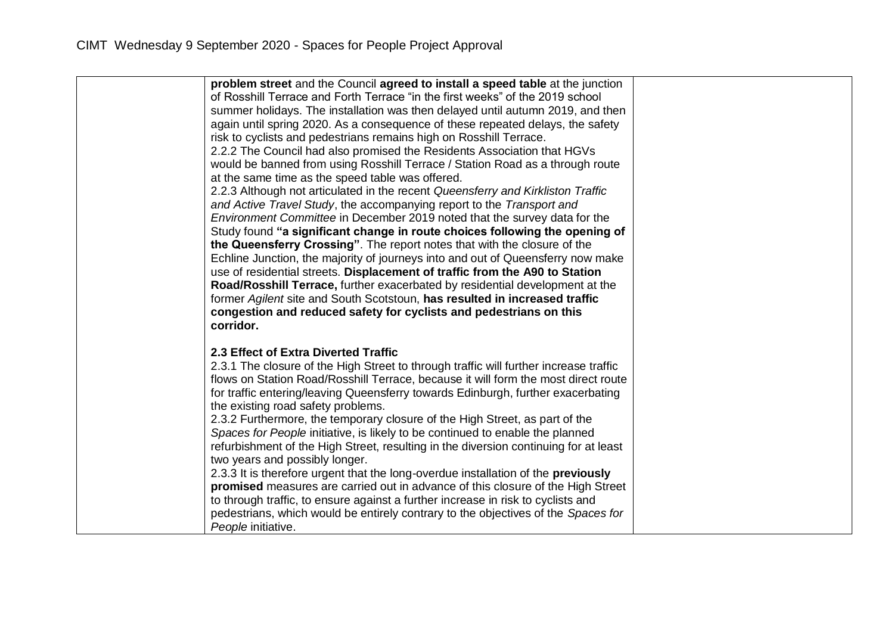| problem street and the Council agreed to install a speed table at the junction           |  |
|------------------------------------------------------------------------------------------|--|
| of Rosshill Terrace and Forth Terrace "in the first weeks" of the 2019 school            |  |
| summer holidays. The installation was then delayed until autumn 2019, and then           |  |
| again until spring 2020. As a consequence of these repeated delays, the safety           |  |
| risk to cyclists and pedestrians remains high on Rosshill Terrace.                       |  |
| 2.2.2 The Council had also promised the Residents Association that HGVs                  |  |
| would be banned from using Rosshill Terrace / Station Road as a through route            |  |
| at the same time as the speed table was offered.                                         |  |
| 2.2.3 Although not articulated in the recent Queensferry and Kirkliston Traffic          |  |
| and Active Travel Study, the accompanying report to the Transport and                    |  |
| Environment Committee in December 2019 noted that the survey data for the                |  |
| Study found "a significant change in route choices following the opening of              |  |
| the Queensferry Crossing". The report notes that with the closure of the                 |  |
| Echline Junction, the majority of journeys into and out of Queensferry now make          |  |
| use of residential streets. Displacement of traffic from the A90 to Station              |  |
| Road/Rosshill Terrace, further exacerbated by residential development at the             |  |
| former Agilent site and South Scotstoun, has resulted in increased traffic               |  |
| congestion and reduced safety for cyclists and pedestrians on this                       |  |
| corridor.                                                                                |  |
|                                                                                          |  |
| 2.3 Effect of Extra Diverted Traffic                                                     |  |
| 2.3.1 The closure of the High Street to through traffic will further increase traffic    |  |
| flows on Station Road/Rosshill Terrace, because it will form the most direct route       |  |
| for traffic entering/leaving Queensferry towards Edinburgh, further exacerbating         |  |
| the existing road safety problems.                                                       |  |
| 2.3.2 Furthermore, the temporary closure of the High Street, as part of the              |  |
| Spaces for People initiative, is likely to be continued to enable the planned            |  |
| refurbishment of the High Street, resulting in the diversion continuing for at least     |  |
| two years and possibly longer.                                                           |  |
| 2.3.3 It is therefore urgent that the long-overdue installation of the <b>previously</b> |  |
| promised measures are carried out in advance of this closure of the High Street          |  |
| to through traffic, to ensure against a further increase in risk to cyclists and         |  |
| pedestrians, which would be entirely contrary to the objectives of the Spaces for        |  |
| People initiative.                                                                       |  |
|                                                                                          |  |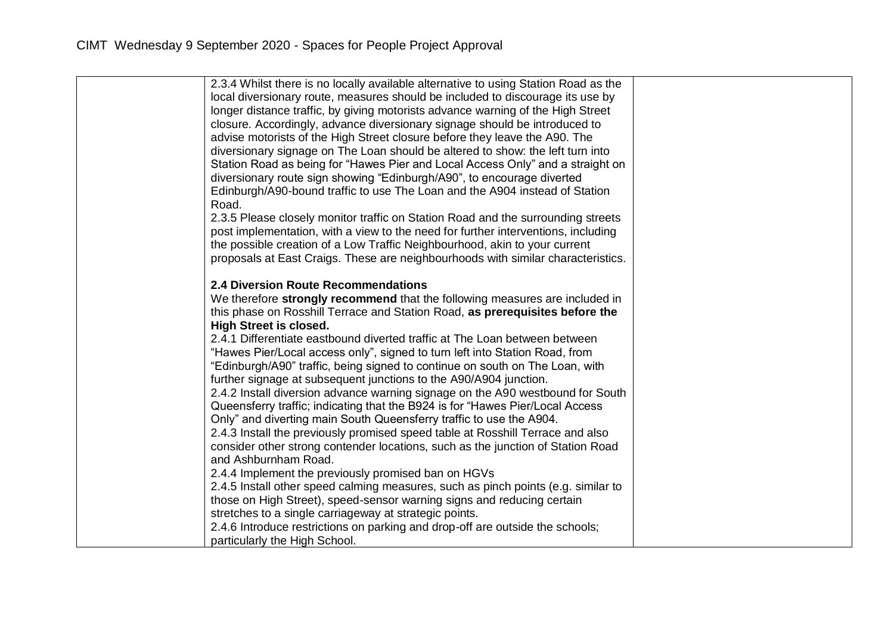| 2.3.4 Whilst there is no locally available alternative to using Station Road as the<br>local diversionary route, measures should be included to discourage its use by<br>longer distance traffic, by giving motorists advance warning of the High Street<br>closure. Accordingly, advance diversionary signage should be introduced to<br>advise motorists of the High Street closure before they leave the A90. The<br>diversionary signage on The Loan should be altered to show: the left turn into<br>Station Road as being for "Hawes Pier and Local Access Only" and a straight on<br>diversionary route sign showing "Edinburgh/A90", to encourage diverted<br>Edinburgh/A90-bound traffic to use The Loan and the A904 instead of Station<br>Road.<br>2.3.5 Please closely monitor traffic on Station Road and the surrounding streets<br>post implementation, with a view to the need for further interventions, including<br>the possible creation of a Low Traffic Neighbourhood, akin to your current                                                                                                                                                                                                                                                                                                                                                                                                                                                                         |  |
|-------------------------------------------------------------------------------------------------------------------------------------------------------------------------------------------------------------------------------------------------------------------------------------------------------------------------------------------------------------------------------------------------------------------------------------------------------------------------------------------------------------------------------------------------------------------------------------------------------------------------------------------------------------------------------------------------------------------------------------------------------------------------------------------------------------------------------------------------------------------------------------------------------------------------------------------------------------------------------------------------------------------------------------------------------------------------------------------------------------------------------------------------------------------------------------------------------------------------------------------------------------------------------------------------------------------------------------------------------------------------------------------------------------------------------------------------------------------------------------------|--|
| proposals at East Craigs. These are neighbourhoods with similar characteristics.<br><b>2.4 Diversion Route Recommendations</b><br>We therefore strongly recommend that the following measures are included in<br>this phase on Rosshill Terrace and Station Road, as prerequisites before the<br><b>High Street is closed.</b><br>2.4.1 Differentiate eastbound diverted traffic at The Loan between between<br>"Hawes Pier/Local access only", signed to turn left into Station Road, from<br>"Edinburgh/A90" traffic, being signed to continue on south on The Loan, with<br>further signage at subsequent junctions to the A90/A904 junction.<br>2.4.2 Install diversion advance warning signage on the A90 westbound for South<br>Queensferry traffic; indicating that the B924 is for "Hawes Pier/Local Access<br>Only" and diverting main South Queensferry traffic to use the A904.<br>2.4.3 Install the previously promised speed table at Rosshill Terrace and also<br>consider other strong contender locations, such as the junction of Station Road<br>and Ashburnham Road.<br>2.4.4 Implement the previously promised ban on HGVs<br>2.4.5 Install other speed calming measures, such as pinch points (e.g. similar to<br>those on High Street), speed-sensor warning signs and reducing certain<br>stretches to a single carriageway at strategic points.<br>2.4.6 Introduce restrictions on parking and drop-off are outside the schools;<br>particularly the High School. |  |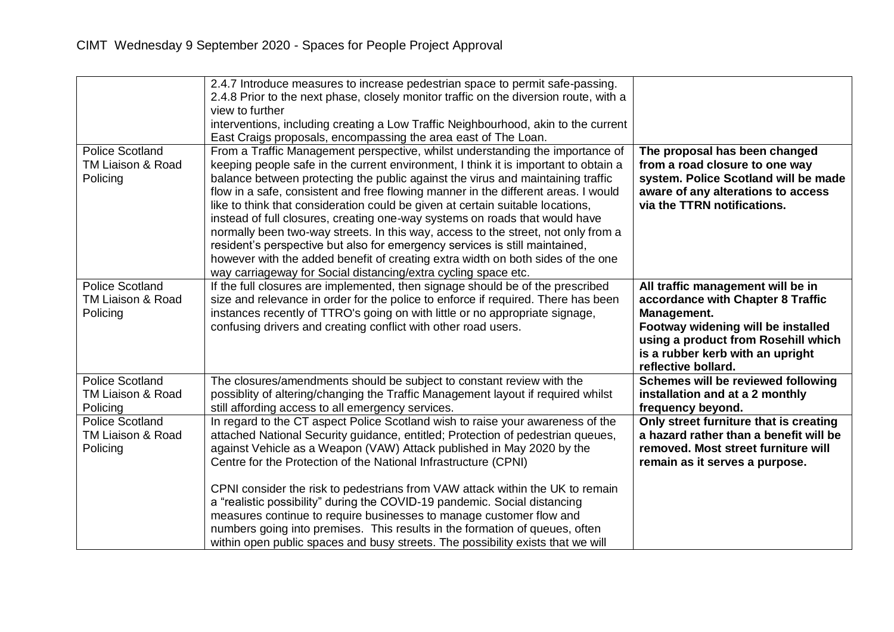|                                                         | 2.4.7 Introduce measures to increase pedestrian space to permit safe-passing.<br>2.4.8 Prior to the next phase, closely monitor traffic on the diversion route, with a<br>view to further<br>interventions, including creating a Low Traffic Neighbourhood, akin to the current<br>East Craigs proposals, encompassing the area east of The Loan.                                                                                                                                                                                                                                                                                                                                                                                                                                                                                       |                                                                                                                                                                                                                               |
|---------------------------------------------------------|-----------------------------------------------------------------------------------------------------------------------------------------------------------------------------------------------------------------------------------------------------------------------------------------------------------------------------------------------------------------------------------------------------------------------------------------------------------------------------------------------------------------------------------------------------------------------------------------------------------------------------------------------------------------------------------------------------------------------------------------------------------------------------------------------------------------------------------------|-------------------------------------------------------------------------------------------------------------------------------------------------------------------------------------------------------------------------------|
| <b>Police Scotland</b><br>TM Liaison & Road<br>Policing | From a Traffic Management perspective, whilst understanding the importance of<br>keeping people safe in the current environment, I think it is important to obtain a<br>balance between protecting the public against the virus and maintaining traffic<br>flow in a safe, consistent and free flowing manner in the different areas. I would<br>like to think that consideration could be given at certain suitable locations,<br>instead of full closures, creating one-way systems on roads that would have<br>normally been two-way streets. In this way, access to the street, not only from a<br>resident's perspective but also for emergency services is still maintained,<br>however with the added benefit of creating extra width on both sides of the one<br>way carriageway for Social distancing/extra cycling space etc. | The proposal has been changed<br>from a road closure to one way<br>system. Police Scotland will be made<br>aware of any alterations to access<br>via the TTRN notifications.                                                  |
| <b>Police Scotland</b><br>TM Liaison & Road<br>Policing | If the full closures are implemented, then signage should be of the prescribed<br>size and relevance in order for the police to enforce if required. There has been<br>instances recently of TTRO's going on with little or no appropriate signage,<br>confusing drivers and creating conflict with other road users.                                                                                                                                                                                                                                                                                                                                                                                                                                                                                                                   | All traffic management will be in<br>accordance with Chapter 8 Traffic<br>Management.<br>Footway widening will be installed<br>using a product from Rosehill which<br>is a rubber kerb with an upright<br>reflective bollard. |
| <b>Police Scotland</b><br>TM Liaison & Road<br>Policing | The closures/amendments should be subject to constant review with the<br>possiblity of altering/changing the Traffic Management layout if required whilst<br>still affording access to all emergency services.                                                                                                                                                                                                                                                                                                                                                                                                                                                                                                                                                                                                                          | Schemes will be reviewed following<br>installation and at a 2 monthly<br>frequency beyond.                                                                                                                                    |
| <b>Police Scotland</b><br>TM Liaison & Road<br>Policing | In regard to the CT aspect Police Scotland wish to raise your awareness of the<br>attached National Security guidance, entitled; Protection of pedestrian queues,<br>against Vehicle as a Weapon (VAW) Attack published in May 2020 by the<br>Centre for the Protection of the National Infrastructure (CPNI)                                                                                                                                                                                                                                                                                                                                                                                                                                                                                                                           | Only street furniture that is creating<br>a hazard rather than a benefit will be<br>removed. Most street furniture will<br>remain as it serves a purpose.                                                                     |
|                                                         | CPNI consider the risk to pedestrians from VAW attack within the UK to remain<br>a "realistic possibility" during the COVID-19 pandemic. Social distancing<br>measures continue to require businesses to manage customer flow and<br>numbers going into premises. This results in the formation of queues, often<br>within open public spaces and busy streets. The possibility exists that we will                                                                                                                                                                                                                                                                                                                                                                                                                                     |                                                                                                                                                                                                                               |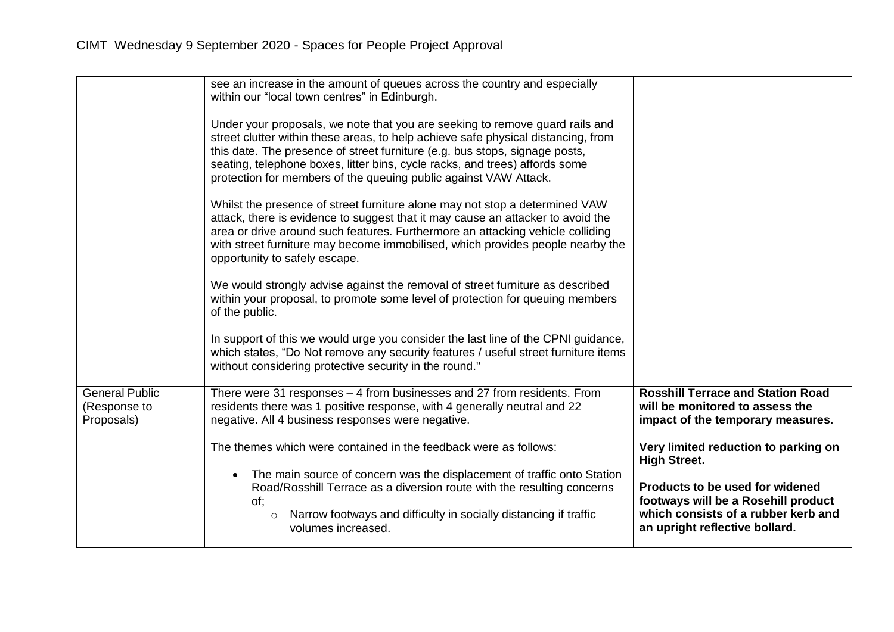|                            | see an increase in the amount of queues across the country and especially<br>within our "local town centres" in Edinburgh.<br>Under your proposals, we note that you are seeking to remove guard rails and<br>street clutter within these areas, to help achieve safe physical distancing, from<br>this date. The presence of street furniture (e.g. bus stops, signage posts,<br>seating, telephone boxes, litter bins, cycle racks, and trees) affords some<br>protection for members of the queuing public against VAW Attack.<br>Whilst the presence of street furniture alone may not stop a determined VAW<br>attack, there is evidence to suggest that it may cause an attacker to avoid the<br>area or drive around such features. Furthermore an attacking vehicle colliding<br>with street furniture may become immobilised, which provides people nearby the<br>opportunity to safely escape.<br>We would strongly advise against the removal of street furniture as described<br>within your proposal, to promote some level of protection for queuing members<br>of the public.<br>In support of this we would urge you consider the last line of the CPNI guidance,<br>which states, "Do Not remove any security features / useful street furniture items<br>without considering protective security in the round." |                                                                                                              |
|----------------------------|-----------------------------------------------------------------------------------------------------------------------------------------------------------------------------------------------------------------------------------------------------------------------------------------------------------------------------------------------------------------------------------------------------------------------------------------------------------------------------------------------------------------------------------------------------------------------------------------------------------------------------------------------------------------------------------------------------------------------------------------------------------------------------------------------------------------------------------------------------------------------------------------------------------------------------------------------------------------------------------------------------------------------------------------------------------------------------------------------------------------------------------------------------------------------------------------------------------------------------------------------------------------------------------------------------------------------------------|--------------------------------------------------------------------------------------------------------------|
| <b>General Public</b>      | There were 31 responses - 4 from businesses and 27 from residents. From                                                                                                                                                                                                                                                                                                                                                                                                                                                                                                                                                                                                                                                                                                                                                                                                                                                                                                                                                                                                                                                                                                                                                                                                                                                           | <b>Rosshill Terrace and Station Road</b>                                                                     |
| (Response to<br>Proposals) | residents there was 1 positive response, with 4 generally neutral and 22<br>negative. All 4 business responses were negative.                                                                                                                                                                                                                                                                                                                                                                                                                                                                                                                                                                                                                                                                                                                                                                                                                                                                                                                                                                                                                                                                                                                                                                                                     | will be monitored to assess the<br>impact of the temporary measures.                                         |
|                            | The themes which were contained in the feedback were as follows:                                                                                                                                                                                                                                                                                                                                                                                                                                                                                                                                                                                                                                                                                                                                                                                                                                                                                                                                                                                                                                                                                                                                                                                                                                                                  | Very limited reduction to parking on<br><b>High Street.</b>                                                  |
|                            | The main source of concern was the displacement of traffic onto Station<br>$\bullet$<br>Road/Rosshill Terrace as a diversion route with the resulting concerns                                                                                                                                                                                                                                                                                                                                                                                                                                                                                                                                                                                                                                                                                                                                                                                                                                                                                                                                                                                                                                                                                                                                                                    | Products to be used for widened                                                                              |
|                            | of:<br>Narrow footways and difficulty in socially distancing if traffic<br>$\circ$<br>volumes increased.                                                                                                                                                                                                                                                                                                                                                                                                                                                                                                                                                                                                                                                                                                                                                                                                                                                                                                                                                                                                                                                                                                                                                                                                                          | footways will be a Rosehill product<br>which consists of a rubber kerb and<br>an upright reflective bollard. |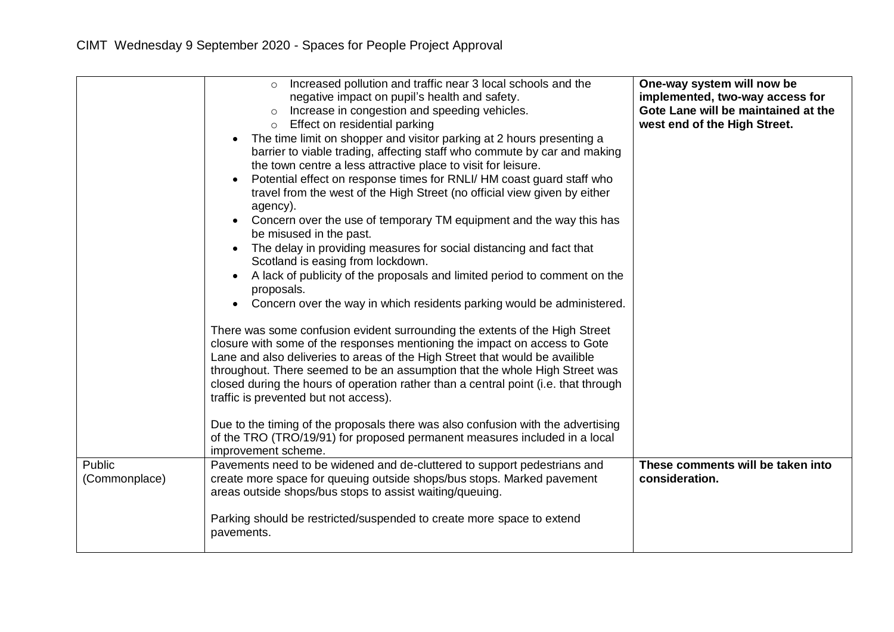|                         | Increased pollution and traffic near 3 local schools and the<br>$\circ$<br>negative impact on pupil's health and safety.<br>Increase in congestion and speeding vehicles.<br>$\circ$<br>o Effect on residential parking<br>The time limit on shopper and visitor parking at 2 hours presenting a<br>barrier to viable trading, affecting staff who commute by car and making<br>the town centre a less attractive place to visit for leisure.<br>Potential effect on response times for RNLI/HM coast guard staff who<br>travel from the west of the High Street (no official view given by either<br>agency).<br>Concern over the use of temporary TM equipment and the way this has<br>be misused in the past.<br>The delay in providing measures for social distancing and fact that<br>Scotland is easing from lockdown.<br>A lack of publicity of the proposals and limited period to comment on the<br>proposals.<br>Concern over the way in which residents parking would be administered.<br>$\bullet$<br>There was some confusion evident surrounding the extents of the High Street<br>closure with some of the responses mentioning the impact on access to Gote<br>Lane and also deliveries to areas of the High Street that would be availible<br>throughout. There seemed to be an assumption that the whole High Street was<br>closed during the hours of operation rather than a central point (i.e. that through<br>traffic is prevented but not access).<br>Due to the timing of the proposals there was also confusion with the advertising<br>of the TRO (TRO/19/91) for proposed permanent measures included in a local<br>improvement scheme. | One-way system will now be<br>implemented, two-way access for<br>Gote Lane will be maintained at the<br>west end of the High Street. |
|-------------------------|---------------------------------------------------------------------------------------------------------------------------------------------------------------------------------------------------------------------------------------------------------------------------------------------------------------------------------------------------------------------------------------------------------------------------------------------------------------------------------------------------------------------------------------------------------------------------------------------------------------------------------------------------------------------------------------------------------------------------------------------------------------------------------------------------------------------------------------------------------------------------------------------------------------------------------------------------------------------------------------------------------------------------------------------------------------------------------------------------------------------------------------------------------------------------------------------------------------------------------------------------------------------------------------------------------------------------------------------------------------------------------------------------------------------------------------------------------------------------------------------------------------------------------------------------------------------------------------------------------------------------------------------------------------------|--------------------------------------------------------------------------------------------------------------------------------------|
| Public<br>(Commonplace) | Pavements need to be widened and de-cluttered to support pedestrians and<br>create more space for queuing outside shops/bus stops. Marked pavement<br>areas outside shops/bus stops to assist waiting/queuing.<br>Parking should be restricted/suspended to create more space to extend<br>pavements.                                                                                                                                                                                                                                                                                                                                                                                                                                                                                                                                                                                                                                                                                                                                                                                                                                                                                                                                                                                                                                                                                                                                                                                                                                                                                                                                                               | These comments will be taken into<br>consideration.                                                                                  |